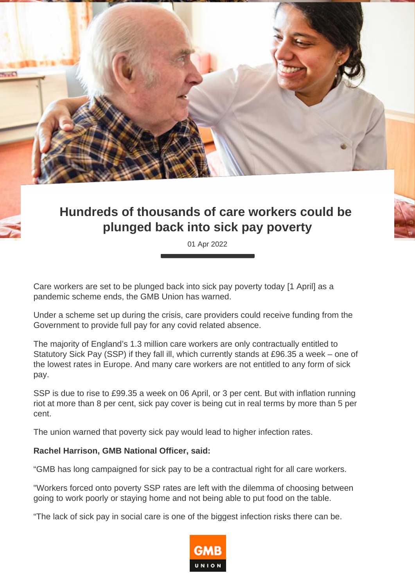

## **Hundreds of thousands of care workers could be plunged back into sick pay poverty**

01 Apr 2022

Care workers are set to be plunged back into sick pay poverty today [1 April] as a pandemic scheme ends, the GMB Union has warned.

Under a scheme set up during the crisis, care providers could receive funding from the Government to provide full pay for any covid related absence.

The majority of England's 1.3 million care workers are only contractually entitled to Statutory Sick Pay (SSP) if they fall ill, which currently stands at £96.35 a week – one of the lowest rates in Europe. And many care workers are not entitled to any form of sick pay.

SSP is due to rise to £99.35 a week on 06 April, or 3 per cent. But with inflation running riot at more than 8 per cent, sick pay cover is being cut in real terms by more than 5 per cent.

The union warned that poverty sick pay would lead to higher infection rates.

## **Rachel Harrison, GMB National Officer, said:**

"GMB has long campaigned for sick pay to be a contractual right for all care workers.

"Workers forced onto poverty SSP rates are left with the dilemma of choosing between going to work poorly or staying home and not being able to put food on the table.

"The lack of sick pay in social care is one of the biggest infection risks there can be.